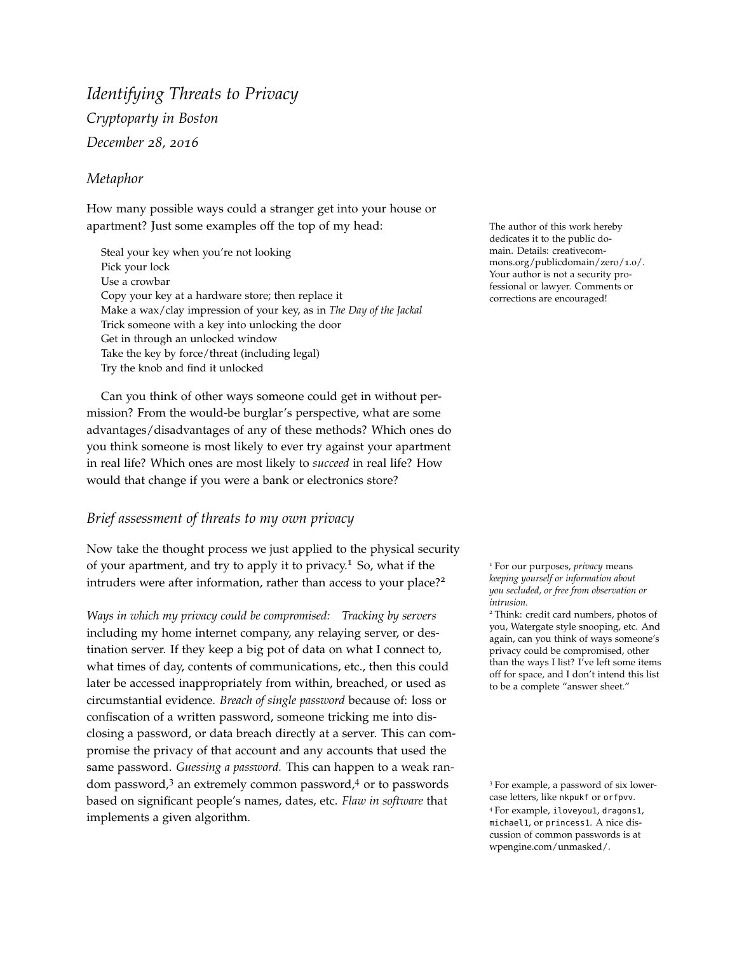# *Identifying Threats to Privacy Cryptoparty in Boston December 28, 2016*

## *Metaphor*

How many possible ways could a stranger get into your house or apartment? Just some examples off the top of my head: The author of this work hereby

Steal your key when you're not looking Pick your lock Use a crowbar Copy your key at a hardware store; then replace it Make a wax/clay impression of your key, as in *The Day of the Jackal* Trick someone with a key into unlocking the door Get in through an unlocked window Take the key by force/threat (including legal) Try the knob and find it unlocked

Can you think of other ways someone could get in without permission? From the would-be burglar's perspective, what are some advantages/disadvantages of any of these methods? Which ones do you think someone is most likely to ever try against your apartment in real life? Which ones are most likely to *succeed* in real life? How would that change if you were a bank or electronics store?

## *Brief assessment of threats to my own privacy*

Now take the thought process we just applied to the physical security of your apartment, and try to apply it to privacy.<sup>1</sup> So, what if the <sup>1</sup> For our purposes, *privacy* means intruders were after information, rather than access to your place?<sup>2</sup>

*Ways in which my privacy could be compromised: Tracking by servers* including my home internet company, any relaying server, or destination server. If they keep a big pot of data on what I connect to, what times of day, contents of communications, etc., then this could later be accessed inappropriately from within, breached, or used as circumstantial evidence. *Breach of single password* because of: loss or confiscation of a written password, someone tricking me into disclosing a password, or data breach directly at a server. This can compromise the privacy of that account and any accounts that used the same password. *Guessing a password.* This can happen to a weak random password,<sup>3</sup> an extremely common password,<sup>4</sup> or to passwords <sup>3</sup> For example, a password of six lowerbased on significant people's names, dates, etc. *Flaw in software* that implements a given algorithm.

dedicates it to the public domain. Details: creativecommons.org/publicdomain/zero/1.0/. Your author is not a security professional or lawyer. Comments or corrections are encouraged!

*keeping yourself or information about you secluded, or free from observation or intrusion.*

<sup>2</sup> Think: credit card numbers, photos of you, Watergate style snooping, etc. And again, can you think of ways someone's privacy could be compromised, other than the ways I list? I've left some items off for space, and I don't intend this list to be a complete "answer sheet."

case letters, like nkpukf or orfpvv. <sup>4</sup> For example, iloveyou1, dragons1, michael1, or princess1. A nice discussion of common passwords is at wpengine.com/unmasked/.